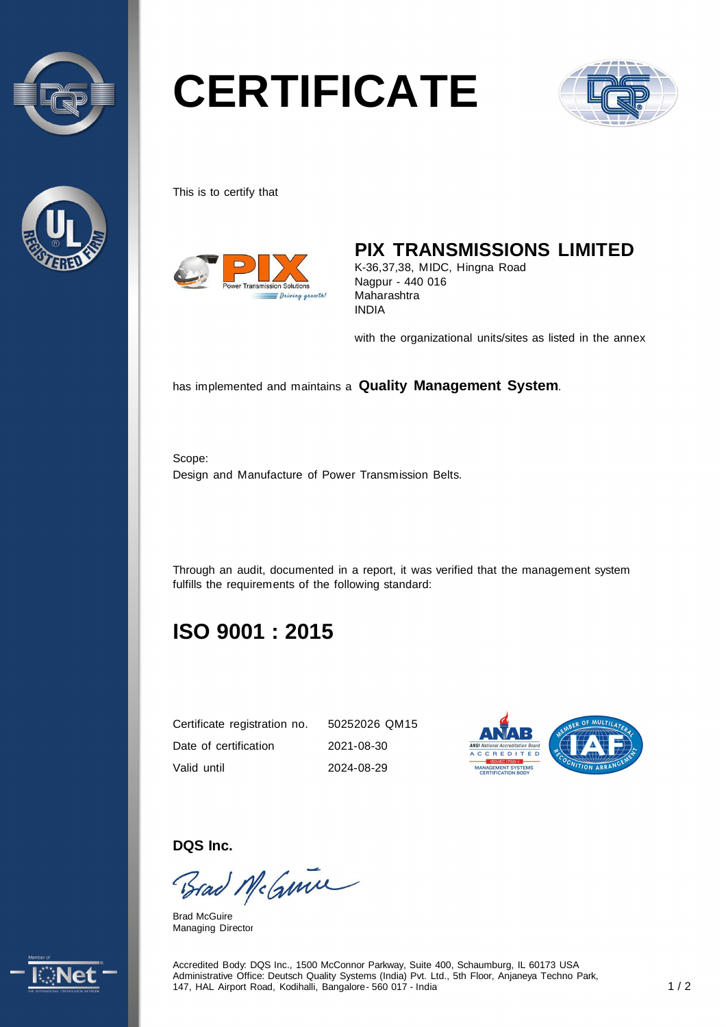



# **CERTIFICATE**



This is to certify that



### **PIX TRANSMISSIONS LIMITED**

K-36,37,38, MIDC, Hingna Road Nagpur - 440 016 Maharashtra INDIA

with the organizational units/sites as listed in the annex

has implemented and maintains a **Quality Management System**.

Scope: Design and Manufacture of Power Transmission Belts.

Through an audit, documented in a report, it was verified that the management system fulfills the requirements of the following standard:

## **ISO 9001 : 2015**

| Certificate registration no. | 50252026 QM15 |
|------------------------------|---------------|
| Date of certification        | 2021-08-30    |
| Valid until                  | 2024-08-29    |



**DQS Inc.** 

Brad Mc Guine

Brad McGuire Managing Director



Accredited Body: DQS Inc., 1500 McConnor Parkway, Suite 400, Schaumburg, IL 60173 USA Administrative Office: Deutsch Quality Systems (India) Pvt. Ltd., 5th Floor, Anjaneya Techno Park, 147, HAL Airport Road, Kodihalli, Bangalore - 560 017 - India 1 / 2